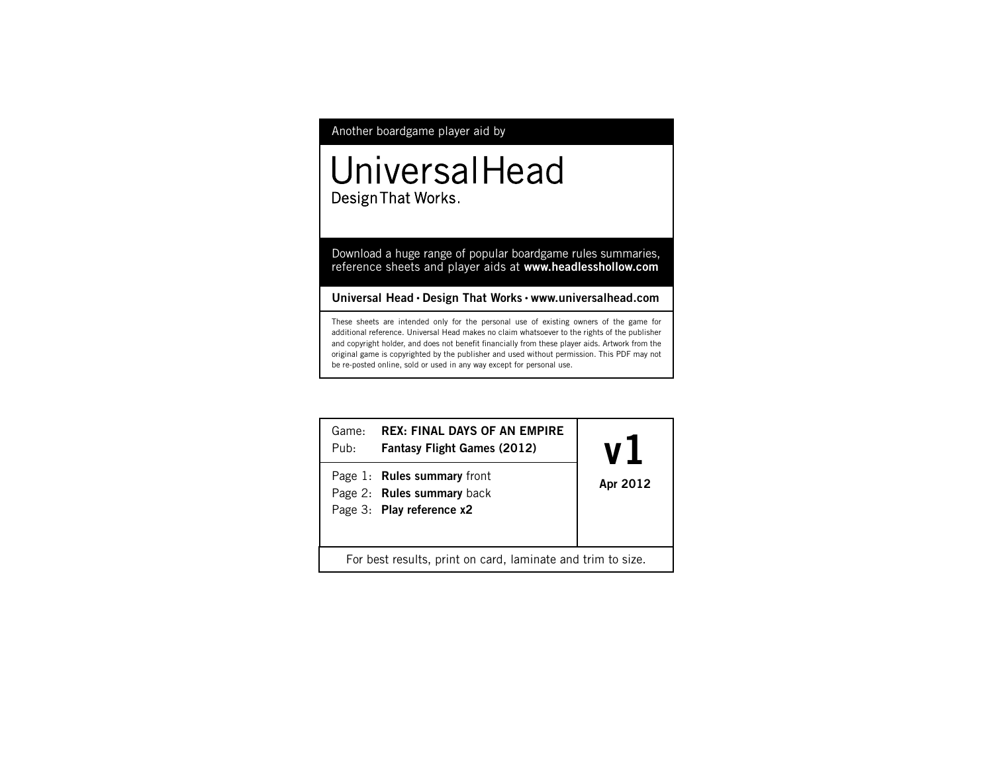# Another boardgame player aid by

# UniversalHead Design That Works.

Download a huge range of popular boardgame rules summaries, reference sheets and player aids at **www.headlesshollow.com**

# **Universal Head • Design That Works • www.universalhead.com**

These sheets are intended only for the personal use of existing owners of the game for additional reference. Universal Head makes no claim whatsoever to the rights of the publisher and copyright holder, and does not benefit financially from these player aids. Artwork from the original game is copyrighted by the publisher and used without permission. This PDF may not be re-posted online, sold or used in any way except for personal use.

| Game:<br>$P$ ub:                                            | <b>REX: FINAL DAYS OF AN EMPIRE</b><br><b>Fantasy Flight Games (2012)</b>              | Apr 2012 |
|-------------------------------------------------------------|----------------------------------------------------------------------------------------|----------|
|                                                             | Page 1: Rules summary front<br>Page 2: Rules summary back<br>Page 3: Play reference x2 |          |
| For best results, print on card, laminate and trim to size. |                                                                                        |          |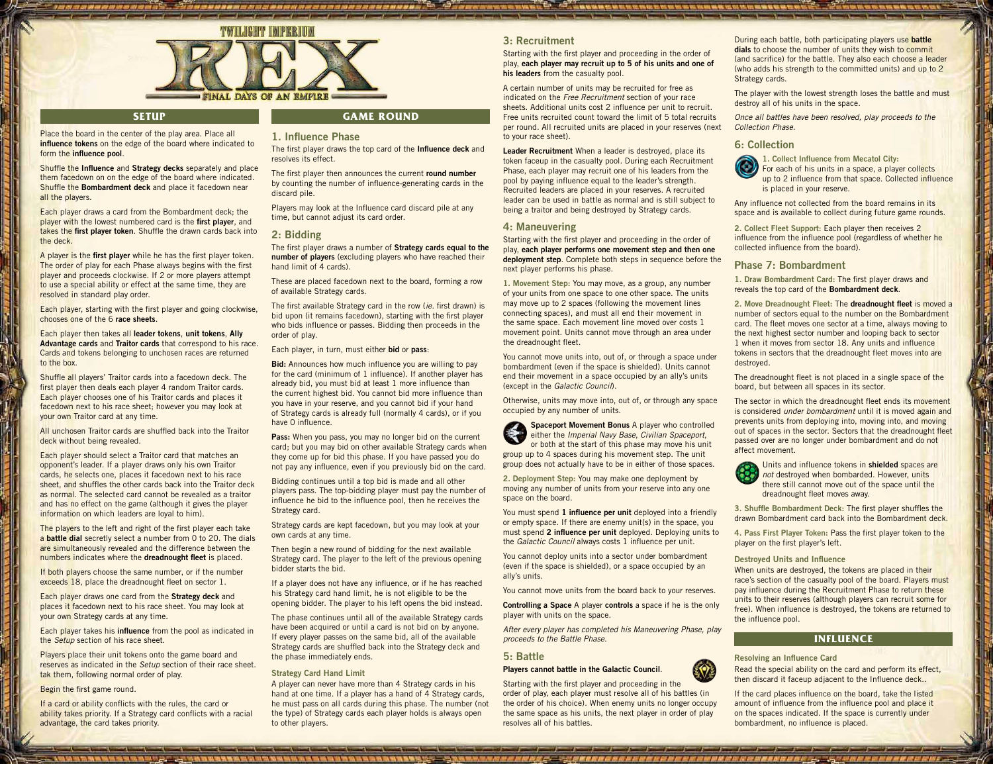

### **Setup**

Shuffle the **Influence** and **Strategy decks** separately and place them facedown on on the edge of the board where indicated. Shuffle the **Bombardment deck** and place it facedown near

Each player draws a card from the Bombardment deck; the player with the lowest numbered card is the **first player**, and takes the **first player token**. Shuffle the drawn cards back into

A player is the **first player** while he has the first player token. The order of play for each Phase always begins with the first player and proceeds clockwise. If 2 or more players attempt to use a special ability or effect at the same time, they are

Each player, starting with the first player and going clockwise,

Each player then takes all **leader tokens**, **unit tokens**, **Ally Advantage cards** and **Traitor cards** that correspond to his race. Cards and tokens belonging to unchosen races are returned

Shuffle all players' Traitor cards into a facedown deck. The first player then deals each player 4 random Traitor cards. Each player chooses one of his Traitor cards and places it facedown next to his race sheet; however you may look at

All unchosen Traitor cards are shuffled back into the Traitor

Each player should select a Traitor card that matches an opponent's leader. If a player draws only his own Traitor cards, he selects one, places it facedown next to his race sheet, and shuffles the other cards back into the Traitor deck as normal. The selected card cannot be revealed as a traitor and has no effect on the game (although it gives the player information on which leaders are loyal to him).

Place the board in the center of the play area. Place all

form the **influence pool**.

resolved in standard play order.

chooses one of the 6 **race sheets**.

your own Traitor card at any time.

deck without being revealed.

all the players.

the deck.

to the box.

# **Game ROUND**

#### **influence tokens** on the edge of the board where indicated to **1. Influence Phase**

The first player draws the top card of the **Influence deck** and resolves its effect.

The first player then announces the current **round number**  by counting the number of influence-generating cards in the discard pile.

Players may look at the Influence card discard pile at any time, but cannot adjust its card order.

#### **2: Bidding**

The first player draws a number of **Strategy cards equal to the number of players** (excluding players who have reached their hand limit of 4 cards).

These are placed facedown next to the board, forming a row of available Strategy cards.

The first available Strategy card in the row (*ie.* first drawn) is bid upon (it remains facedown), starting with the first player who bids influence or passes. Bidding then proceeds in the order of play.

#### Each player, in turn, must either **bid** or **pass**:

**Bid:** Announces how much influence you are willing to pay for the card (minimum of 1 influence). If another player has already bid, you must bid at least 1 more influence than the current highest bid. You cannot bid more influence than you have in your reserve, and you cannot bid if your hand of Strategy cards is already full (normally 4 cards), or if you have 0 influence.

**Pass:** When you pass, you may no longer bid on the current card; but you may bid on other available Strategy cards when they come up for bid this phase. If you have passed you do not pay any influence, even if you previously bid on the card.

Bidding continues until a top bid is made and all other players pass. The top-bidding player must pay the number of influence he bid to the influence pool, then he receives the Strategy card.

Strategy cards are kept facedown, but you may look at your own cards at any time.

Then begin a new round of bidding for the next available Strategy card. The player to the left of the previous opening bidder starts the bid.

If a player does not have any influence, or if he has reached his Strategy card hand limit, he is not eligible to be the opening bidder. The player to his left opens the bid instead.

The phase continues until all of the available Strategy cards have been acquired or until a card is not bid on by anyone.

If every player passes on the same bid, all of the available Strategy cards are shuffled back into the Strategy deck and the phase immediately ends.

#### **Strategy Card Hand Limit**

A player can never have more than 4 Strategy cards in his hand at one time. If a player has a hand of 4 Strategy cards, he must pass on all cards during this phase. The number (not the type) of Strategy cards each player holds is always open to other players.

### **3: Recruitment**

Starting with the first player and proceeding in the order of play, **each player may recruit up to 5 of his units and one of his leaders** from the casualty pool.

A certain number of units may be recruited for free as indicated on the *Free Recruitment* section of your race sheets. Additional units cost 2 influence per unit to recruit. Free units recruited count toward the limit of 5 total recruits per round. All recruited units are placed in your reserves (next to your race sheet).

**Leader Recruitment** When a leader is destroyed, place its token faceup in the casualty pool. During each Recruitment Phase, each player may recruit one of his leaders from the pool by paying influence equal to the leader's strength. Recruited leaders are placed in your reserves. A recruited leader can be used in battle as normal and is still subject to being a traitor and being destroyed by Strategy cards.

### **4: Maneuvering**

Starting with the first player and proceeding in the order of play, **each player performs one movement step and then one deployment step**. Complete both steps in sequence before the next player performs his phase.

**1. Movement Step:** You may move, as a group, any number of your units from one space to one other space. The units may move up to 2 spaces (following the movement lines connecting spaces), and must all end their movement in the same space. Each movement line moved over costs 1 movement point. Units cannot move through an area under the dreadnought fleet.

You cannot move units into, out of, or through a space under bombardment (even if the space is shielded). Units cannot end their movement in a space occupied by an ally's units (except in the *Galactic Council*).

Otherwise, units may move into, out of, or through any space occupied by any number of units.

**Spaceport Movement Bonus** A player who controlled either the *Imperial Navy Base*, *Civilian Spaceport*, or both at the start of this phase may move his unit group up to 4 spaces during his movement step. The unit group does not actually have to be in either of those spaces.

**2. Deployment Step:** You may make one deployment by moving any number of units from your reserve into any one space on the board.

You must spend **1 influence per unit** deployed into a friendly or empty space. If there are enemy unit(s) in the space, you must spend **2 influence per unit** deployed. Deploying units to the *Galactic Council* always costs 1 influence per unit.

You cannot deploy units into a sector under bombardment (even if the space is shielded), or a space occupied by an ally's units.

You cannot move units from the board back to your reserves.

**Controlling a Space** A player **controls** a space if he is the only player with units on the space.

*After every player has completed his Maneuvering Phase, play proceeds to the Battle Phase.*

### **5: Battle Players cannot battle in the Galactic Council**.

Starting with the first player and proceeding in the order of play, each player must resolve all of his battles (in the order of his choice). When enemy units no longer occupy the same space as his units, the next player in order of play resolves all of his battles.

During each battle, both participating players use **battle dials** to choose the number of units they wish to commit (and sacrifice) for the battle. They also each choose a leader (who adds his strength to the committed units) and up to 2 Strategy cards.

The player with the lowest strength loses the battle and must destroy all of his units in the space.

*Once all battles have been resolved, play proceeds to the Collection Phase.*

#### **6: Collection**



1. Collect Influence from Mecatol City: For each of his units in a space, a player collects up to 2 influence from that space. Collected influence is placed in your reserve.

Any influence not collected from the board remains in its space and is available to collect during future game rounds.

**2. Collect Fleet Support:** Each player then receives 2 influence from the influence pool (regardless of whether he collected influence from the board).

#### **Phase 7: Bombardment**

**1. Draw Bombardment Card:** The first player draws and reveals the top card of the **Bombardment deck**.

**2. Move Dreadnought Fleet:** The **dreadnought fleet** is moved a number of sectors equal to the number on the Bombardment card. The fleet moves one sector at a time, always moving to the next highest sector number and looping back to sector 1 when it moves from sector 18. Any units and influence tokens in sectors that the dreadnought fleet moves into are destroyed.

The dreadnought fleet is not placed in a single space of the board, but between all spaces in its sector.

The sector in which the dreadnought fleet ends its movement is considered *under bombardment* until it is moved again and prevents units from deploying into, moving into, and moving out of spaces in the sector. Sectors that the dreadnought fleet passed over are no longer under bombardment and do not affect movement.



Units and influence tokens in **shielded** spaces are *not* destroyed when bombarded. However, units there still cannot move out of the space until the dreadnought fleet moves away.

**3. Shuffle Bombardment Deck:** The first player shuffles the drawn Bombardment card back into the Bombardment deck.

**4. Pass First Player Token:** Pass the first player token to the player on the first player's left.

#### **Destroyed Units and Influence**

When units are destroyed, the tokens are placed in their race's section of the casualty pool of the board. Players must pay influence during the Recruitment Phase to return these units to their reserves (although players can recruit some for free). When influence is destroyed, the tokens are returned to the influence pool.

### **INFLUENCE**

**Resolving an Influence Card**

Read the special ability on the card and perform its effect, then discard it faceup adjacent to the Influence deck..

If the card places influence on the board, take the listed amount of influence from the influence pool and place it on the spaces indicated. If the space is currently under bombardment, no influence is placed.

If both players choose the same number, or if the number exceeds 18, place the dreadnought fleet on sector 1. Each player draws one card from the **Strategy deck** and places it facedown next to his race sheet. You may look at your own Strategy cards at any time.

The players to the left and right of the first player each take a **battle dial** secretly select a number from 0 to 20. The dials are simultaneously revealed and the difference between the numbers indicates where the **dreadnought fleet** is placed.

Each player takes his **influence** from the pool as indicated in the *Setup* section of his race sheet.

Players place their unit tokens onto the game board and reserves as indicated in the *Setup* section of their race sheet. tak them, following normal order of play.

Begin the first game round.

If a card or ability conflicts with the rules, the card or ability takes priority. If a Strategy card conflicts with a racial advantage, the card takes priority.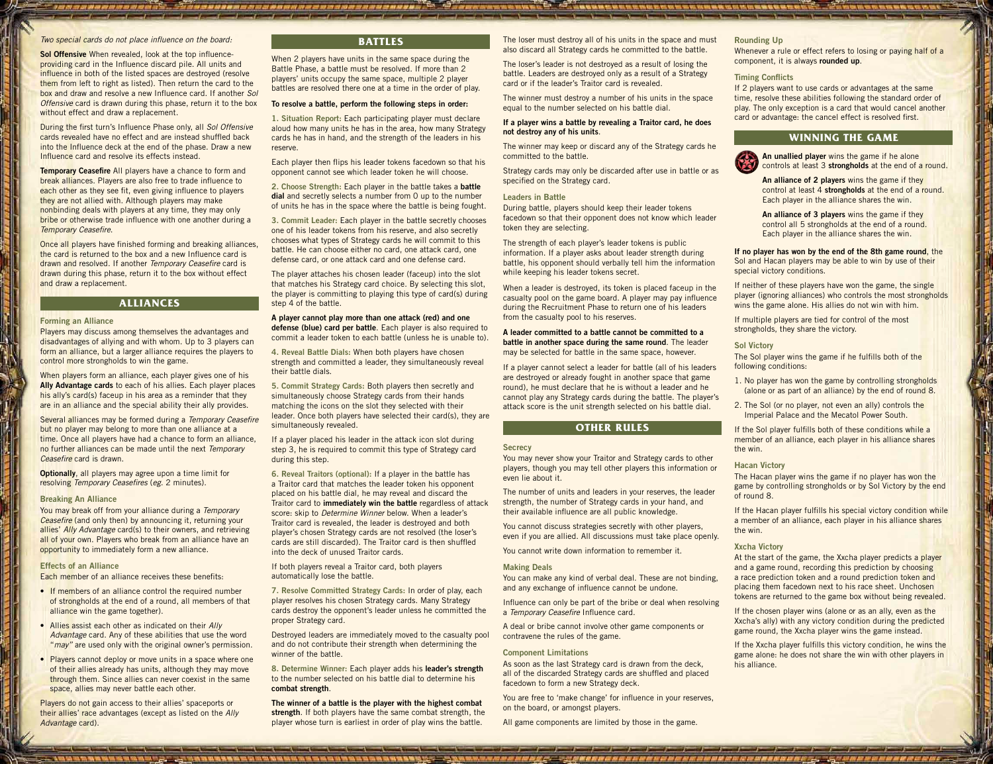#### *Two special cards do not place influence on the board:*

**Sol Offensive** When revealed, look at the top influenceproviding card in the Influence discard pile. All units and influence in both of the listed spaces are destroyed (resolve them from left to right as listed). Then return the card to the box and draw and resolve a new Influence card. If another *Sol Offensive* card is drawn during this phase, return it to the box without effect and draw a replacement.

During the first turn's Influence Phase only, all *Sol Offensive* cards revealed have no effect and are instead shuffled back into the Influence deck at the end of the phase. Draw a new Influence card and resolve its effects instead.

**Temporary Ceasefire** All players have a chance to form and break alliances. Players are also free to trade influence to each other as they see fit, even giving influence to players they are not allied with. Although players may make nonbinding deals with players at any time, they may only bribe or otherwise trade influence with one another during a *Temporary Ceasefire*.

Once all players have finished forming and breaking alliances, the card is returned to the box and a new Influence card is drawn and resolved. If another *Temporary Ceasefire* card is drawn during this phase, return it to the box without effect and draw a replacement.

#### **ALLIANCES**

#### **Forming an Alliance**

Players may discuss among themselves the advantages and disadvantages of allying and with whom. Up to 3 players can form an alliance, but a larger alliance requires the players to control more strongholds to win the game.

When players form an alliance, each player gives one of his **Ally Advantage cards** to each of his allies. Each player places his ally's card(s) faceup in his area as a reminder that they are in an alliance and the special ability their ally provides.

Several alliances may be formed during a *Temporary Ceasefire* but no player may belong to more than one alliance at a time. Once all players have had a chance to form an alliance, no further alliances can be made until the next *Temporary Ceasefire* card is drawn.

**Optionally**, all players may agree upon a time limit for resolving *Temporary Ceasefires* (*eg.* 2 minutes).

#### **Breaking An Alliance**

You may break off from your alliance during a *Temporary Ceasefire* (and only then) by announcing it, returning your allies' *Ally Advantage* card(s) to their owners, and retrieving all of your own. Players who break from an alliance have an opportunity to immediately form a new alliance.

#### **Effects of an Alliance**

Each member of an alliance receives these benefits:

- If members of an alliance control the required number of strongholds at the end of a round, all members of that alliance win the game together).
- Allies assist each other as indicated on their *Ally Advantage* card. Any of these abilities that use the word "may" are used only with the original owner's permission.
- Players cannot deploy or move units in a space where one of their allies already has units, although they may move through them. Since allies can never coexist in the same space, allies may never battle each other.

Players do not gain access to their allies' spaceports or their allies' race advantages (except as listed on the *Ally Advantage* card).

### **BATTLES**

UNIXIOSATI NEI BARRY NEZISI NEW YARA YA KULO

When 2 players have units in the same space during the Battle Phase, a battle must be resolved. If more than 2 players' units occupy the same space, multiple 2 player battles are resolved there one at a time in the order of play.

#### **To resolve a battle, perform the following steps in order:**

**1. Situation Report:** Each participating player must declare aloud how many units he has in the area, how many Strategy cards he has in hand, and the strength of the leaders in his reserve.

Each player then flips his leader tokens facedown so that his opponent cannot see which leader token he will choose.

**2. Choose Strength:** Each player in the battle takes a **battle dial** and secretly selects a number from 0 up to the number of units he has in the space where the battle is being fought.

**3. Commit Leader:** Each player in the battle secretly chooses one of his leader tokens from his reserve, and also secretly chooses what types of Strategy cards he will commit to this battle. He can choose either no card, one attack card, one defense card, or one attack card and one defense card.

The player attaches his chosen leader (faceup) into the slot that matches his Strategy card choice. By selecting this slot, the player is committing to playing this type of card(s) during step 4 of the battle.

#### **A player cannot play more than one attack (red) and one defense (blue) card per battle**. Each player is also required to commit a leader token to each battle (unless he is unable to).

**4. Reveal Battle Dials:** When both players have chosen strength and committed a leader, they simultaneously reveal their battle dials.

**5. Commit Strategy Cards:** Both players then secretly and simultaneously choose Strategy cards from their hands matching the icons on the slot they selected with their leader. Once both players have selected their card(s), they are simultaneously revealed.

If a player placed his leader in the attack icon slot during step 3, he is required to commit this type of Strategy card during this step.

**6. Reveal Traitors (optional):** If a player in the battle has a Traitor card that matches the leader token his opponent placed on his battle dial, he may reveal and discard the Traitor card to **immediately win the battle** regardless of attack score: skip to *Determine Winner* below. When a leader's Traitor card is revealed, the leader is destroyed and both player's chosen Strategy cards are not resolved (the loser's cards are still discarded). The Traitor card is then shuffled into the deck of unused Traitor cards.

If both players reveal a Traitor card, both players automatically lose the battle.

**7. Resolve Committed Strategy Cards:** In order of play, each player resolves his chosen Strategy cards. Many Strategy cards destroy the opponent's leader unless he committed the proper Strategy card.

Destroyed leaders are immediately moved to the casualty pool and do not contribute their strength when determining the winner of the battle.

**8. Determine Winner:** Each player adds his **leader's strength** to the number selected on his battle dial to determine his **combat strength**.

**The winner of a battle is the player with the highest combat strength**. If both players have the same combat strength, the player whose turn is earliest in order of play wins the battle.

The loser must destroy all of his units in the space and must also discard all Strategy cards he committed to the battle.

The loser's leader is not destroyed as a result of losing the battle. Leaders are destroyed only as a result of a Strategy card or if the leader's Traitor card is revealed.

The winner must destroy a number of his units in the space equal to the number selected on his battle dial.

#### **If a player wins a battle by revealing a Traitor card, he does not destroy any of his units**.

The winner may keep or discard any of the Strategy cards he committed to the battle.

Strategy cards may only be discarded after use in battle or as specified on the Strategy card.

#### **Leaders in Battle**

A COMPANY AND LOST YOU WILL WILL BE TOOK THE WILL WANTED

During battle, players should keep their leader tokens facedown so that their opponent does not know which leader token they are selecting.

The strength of each player's leader tokens is public information. If a player asks about leader strength during battle, his opponent should verbally tell him the information while keeping his leader tokens secret.

When a leader is destroyed, its token is placed faceup in the casualty pool on the game board. A player may pay influence during the Recruitment Phase to return one of his leaders from the casualty pool to his reserves.

**A leader committed to a battle cannot be committed to a battle in another space during the same round**. The leader may be selected for battle in the same space, however.

If a player cannot select a leader for battle (all of his leaders are destroyed or already fought in another space that game round), he must declare that he is without a leader and he cannot play any Strategy cards during the battle. The player's attack score is the unit strength selected on his battle dial.

### **Other Rules**

#### **Secrecy**

You may never show your Traitor and Strategy cards to other players, though you may tell other players this information or even lie about it.

The number of units and leaders in your reserves, the leader strength, the number of Strategy cards in your hand, and their available influence are all public knowledge.

You cannot discuss strategies secretly with other players, even if you are allied. All discussions must take place openly.

You cannot write down information to remember it.

#### **Making Deals**

You can make any kind of verbal deal. These are not binding, and any exchange of influence cannot be undone.

Influence can only be part of the bribe or deal when resolving a *Temporary Ceasefire* Influence card.

A deal or bribe cannot involve other game components or contravene the rules of the game.

#### **Component Limitations**

As soon as the last Strategy card is drawn from the deck, all of the discarded Strategy cards are shuffled and placed facedown to form a new Strategy deck.

You are free to 'make change' for influence in your reserves, on the board, or amongst players.

All game components are limited by those in the game.

and personal personal designation of personal personal personal personal

### **Rounding Up**

Whenever a rule or effect refers to losing or paying half of a component, it is always **rounded up**.

the first part and we want you want and was that you want in the

#### **Timing Conflicts**

If 2 players want to use cards or advantages at the same time, resolve these abilities following the standard order of play. The only exception is a card that would cancel another card or advantage: the cancel effect is resolved first.

#### **Winning the Game**



**An unallied player** wins the game if he alone controls at least 3 **strongholds** at the end of a round.

**An alliance of 2 players** wins the game if they control at least 4 **strongholds** at the end of a round. Each player in the alliance shares the win.

**An alliance of 3 players** wins the game if they control all 5 strongholds at the end of a round. Each player in the alliance shares the win.

#### **If no player has won by the end of the 8th game round**, the Sol and Hacan players may be able to win by use of their special victory conditions.

If neither of these players have won the game, the single player (ignoring alliances) who controls the most strongholds wins the game alone. His allies do not win with him.

If multiple players are tied for control of the most strongholds, they share the victory.

#### **Sol Victory**

The Sol player wins the game if he fulfills both of the following conditions:

- 1. No player has won the game by controlling strongholds (alone or as part of an alliance) by the end of round 8.
- 2. The Sol (or no player, not even an ally) controls the Imperial Palace and the Mecatol Power South.

If the Sol player fulfills both of these conditions while a member of an alliance, each player in his alliance shares the win.

#### **Hacan Victory**

The Hacan player wins the game if no player has won the game by controlling strongholds or by Sol Victory by the end of round 8.

If the Hacan player fulfills his special victory condition while a member of an alliance, each player in his alliance shares the win.

#### **Xxcha Victory**

At the start of the game, the Xxcha player predicts a player and a game round, recording this prediction by choosing a race prediction token and a round prediction token and placing them facedown next to his race sheet. Unchosen tokens are returned to the game box without being revealed.

If the chosen player wins (alone or as an ally, even as the Xxcha's ally) with any victory condition during the predicted game round, the Xxcha player wins the game instead.

If the Xxcha player fulfills this victory condition, he wins the game alone: he does not share the win with other players in his alliance.

v1.1